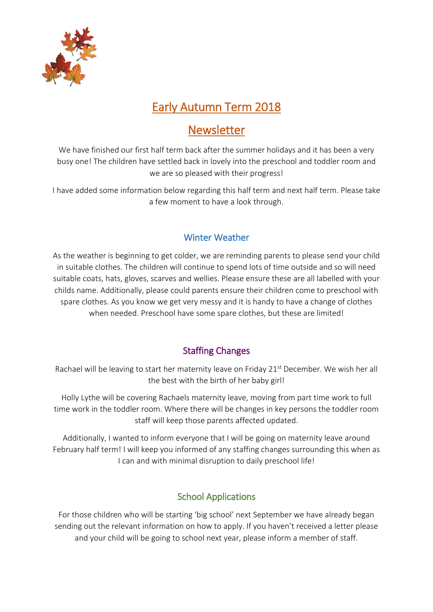

# Early Autumn Term 2018

# Newsletter

We have finished our first half term back after the summer holidays and it has been a very busy one! The children have settled back in lovely into the preschool and toddler room and we are so pleased with their progress!

I have added some information below regarding this half term and next half term. Please take a few moment to have a look through.

## Winter Weather

As the weather is beginning to get colder, we are reminding parents to please send your child in suitable clothes. The children will continue to spend lots of time outside and so will need suitable coats, hats, gloves, scarves and wellies. Please ensure these are all labelled with your childs name. Additionally, please could parents ensure their children come to preschool with spare clothes. As you know we get very messy and it is handy to have a change of clothes when needed. Preschool have some spare clothes, but these are limited!

# Staffing Changes

Rachael will be leaving to start her maternity leave on Friday 21<sup>st</sup> December. We wish her all the best with the birth of her baby girl!

Holly Lythe will be covering Rachaels maternity leave, moving from part time work to full time work in the toddler room. Where there will be changes in key persons the toddler room staff will keep those parents affected updated.

Additionally, I wanted to inform everyone that I will be going on maternity leave around February half term! I will keep you informed of any staffing changes surrounding this when as I can and with minimal disruption to daily preschool life!

# School Applications

For those children who will be starting 'big school' next September we have already began sending out the relevant information on how to apply. If you haven't received a letter please and your child will be going to school next year, please inform a member of staff.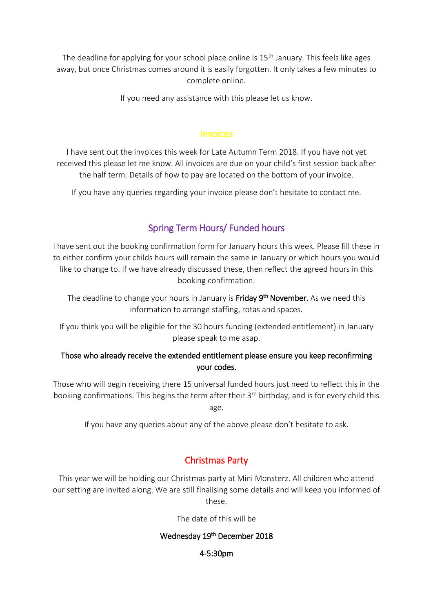The deadline for applying for your school place online is  $15<sup>th</sup>$  January. This feels like ages away, but once Christmas comes around it is easily forgotten. It only takes a few minutes to complete online.

If you need any assistance with this please let us know.

#### Invoices

I have sent out the invoices this week for Late Autumn Term 2018. If you have not yet received this please let me know. All invoices are due on your child's first session back after the half term. Details of how to pay are located on the bottom of your invoice.

If you have any queries regarding your invoice please don't hesitate to contact me.

## Spring Term Hours/ Funded hours

I have sent out the booking confirmation form for January hours this week. Please fill these in to either confirm your childs hours will remain the same in January or which hours you would like to change to. If we have already discussed these, then reflect the agreed hours in this booking confirmation.

The deadline to change your hours in January is Friday 9<sup>th</sup> November. As we need this information to arrange staffing, rotas and spaces.

If you think you will be eligible for the 30 hours funding (extended entitlement) in January please speak to me asap.

#### Those who already receive the extended entitlement please ensure you keep reconfirming your codes.

Those who will begin receiving there 15 universal funded hours just need to reflect this in the booking confirmations. This begins the term after their 3<sup>rd</sup> birthday, and is for every child this age.

If you have any queries about any of the above please don't hesitate to ask.

## Christmas Party

This year we will be holding our Christmas party at Mini Monsterz. All children who attend our setting are invited along. We are still finalising some details and will keep you informed of these.

The date of this will be

#### Wednesday 19<sup>th</sup> December 2018

#### 4-5:30pm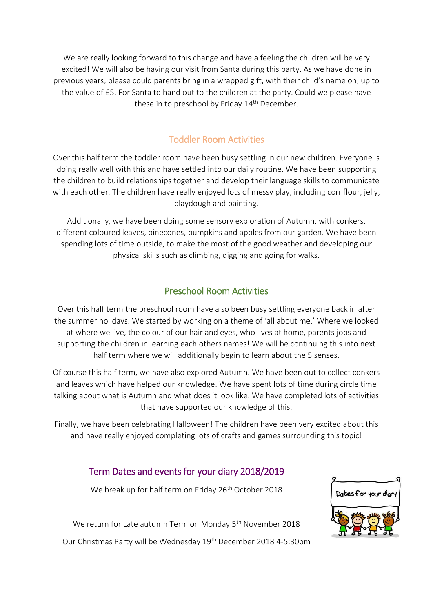We are really looking forward to this change and have a feeling the children will be very excited! We will also be having our visit from Santa during this party. As we have done in previous years, please could parents bring in a wrapped gift, with their child's name on, up to the value of £5. For Santa to hand out to the children at the party. Could we please have these in to preschool by Friday 14<sup>th</sup> December.

### Toddler Room Activities

Over this half term the toddler room have been busy settling in our new children. Everyone is doing really well with this and have settled into our daily routine. We have been supporting the children to build relationships together and develop their language skills to communicate with each other. The children have really enjoyed lots of messy play, including cornflour, jelly, playdough and painting.

Additionally, we have been doing some sensory exploration of Autumn, with conkers, different coloured leaves, pinecones, pumpkins and apples from our garden. We have been spending lots of time outside, to make the most of the good weather and developing our physical skills such as climbing, digging and going for walks.

#### Preschool Room Activities

Over this half term the preschool room have also been busy settling everyone back in after the summer holidays. We started by working on a theme of 'all about me.' Where we looked at where we live, the colour of our hair and eyes, who lives at home, parents jobs and supporting the children in learning each others names! We will be continuing this into next half term where we will additionally begin to learn about the 5 senses.

Of course this half term, we have also explored Autumn. We have been out to collect conkers and leaves which have helped our knowledge. We have spent lots of time during circle time talking about what is Autumn and what does it look like. We have completed lots of activities that have supported our knowledge of this.

Finally, we have been celebrating Halloween! The children have been very excited about this and have really enjoyed completing lots of crafts and games surrounding this topic!

## Term Dates and events for your diary 2018/2019

We break up for half term on Friday 26<sup>th</sup> October 2018



We return for Late autumn Term on Monday 5<sup>th</sup> November 2018 Our Christmas Party will be Wednesday 19<sup>th</sup> December 2018 4-5:30pm